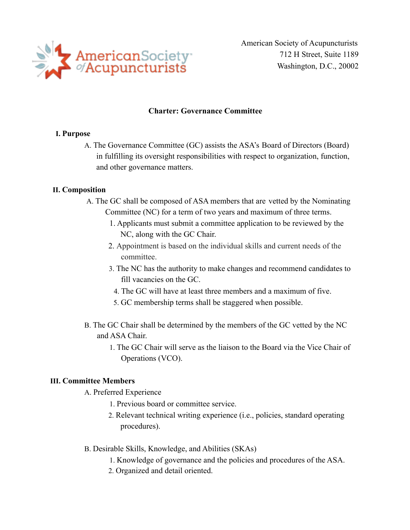

American Society of Acupuncturists 712 H Street, Suite 1189 Washington, D.C., 20002

#### **Charter: Governance Committee**

#### **I. Purpose**

A. The Governance Committee (GC) assists the ASA's Board of Directors (Board) in fulfilling its oversight responsibilities with respect to organization, function, and other governance matters.

## **II. Composition**

- A. The GC shall be composed of ASA members that are vetted by the Nominating Committee (NC) for a term of two years and maximum of three terms.
	- 1. Applicants must submit a committee application to be reviewed by the NC, along with the GC Chair.
	- 2. Appointment is based on the individual skills and current needs of the committee.
	- 3. The NC has the authority to make changes and recommend candidates to fill vacancies on the GC.
		- 4. The GC will have at least three members and a maximum of five.
		- 5. GC membership terms shall be staggered when possible.
- B. The GC Chair shall be determined by the members of the GC vetted by the NC and ASA Chair.
	- 1. The GC Chair will serve as the liaison to the Board via the Vice Chair of Operations (VCO).

## **III. Committee Members**

A. Preferred Experience

- 1. Previous board or committee service.
- 2. Relevant technical writing experience (i.e., policies, standard operating procedures).
- B. Desirable Skills, Knowledge, and Abilities (SKAs)
	- 1. Knowledge of governance and the policies and procedures of the ASA.
	- 2. Organized and detail oriented.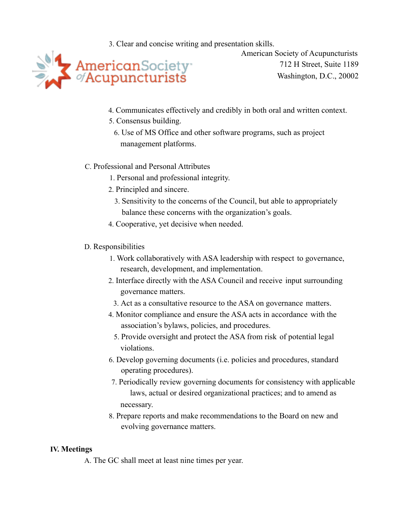3. Clear and concise writing and presentation skills.



American Society of Acupuncturists 712 H Street, Suite 1189 Washington, D.C., 20002

- 4. Communicates effectively and credibly in both oral and written context.
- 5. Consensus building.
	- 6. Use of MS Office and other software programs, such as project management platforms.

## C. Professional and Personal Attributes

- 1. Personal and professional integrity.
- 2. Principled and sincere.
	- 3. Sensitivity to the concerns of the Council, but able to appropriately balance these concerns with the organization's goals.
- 4. Cooperative, yet decisive when needed.

# D. Responsibilities

- 1. Work collaboratively with ASA leadership with respect to governance, research, development, and implementation.
- 2. Interface directly with the ASA Council and receive input surrounding governance matters.
	- 3. Act as a consultative resource to the ASA on governance matters.
- 4. Monitor compliance and ensure the ASA acts in accordance with the association's bylaws, policies, and procedures.
	- 5. Provide oversight and protect the ASA from risk of potential legal violations.
- 6. Develop governing documents (i.e. policies and procedures, standard operating procedures).
- 7. Periodically review governing documents for consistency with applicable laws, actual or desired organizational practices; and to amend as necessary.
- 8. Prepare reports and make recommendations to the Board on new and evolving governance matters.

## **IV. Meetings**

A. The GC shall meet at least nine times per year.